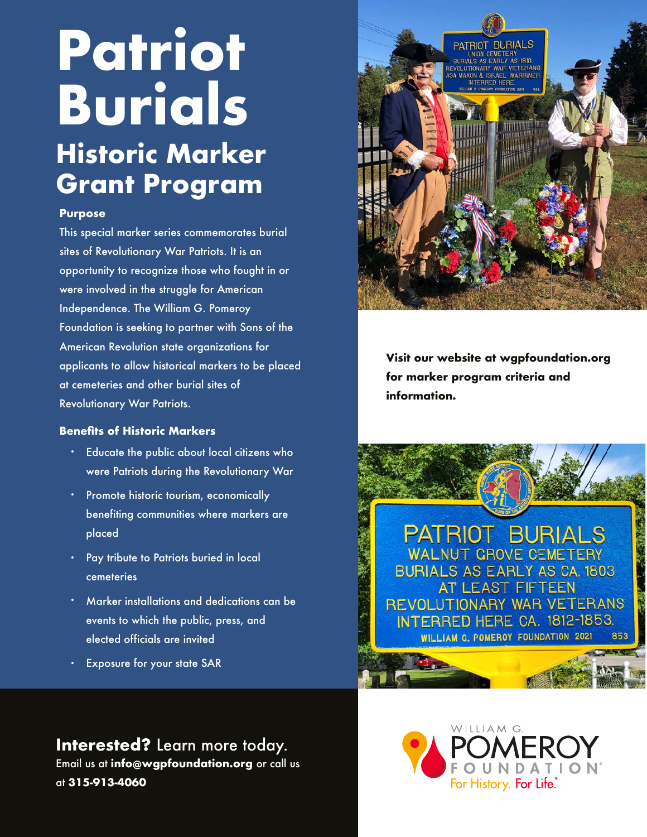# **Patriot Burials Historic Marker**

**Grant Program**

### **Purpose**

This special marker series commemorates burial sites of Revolutionary War Patriots. It is an opportunity to recognize those who fought in or were involved in the struggle for American Independence. The William G. Pomeroy Foundation is seeking to partner with Sons of the American Revolution state organizations for applicants to allow historical markers to be placed at cemeteries and other burial sites of Revolutionary War Patriots.

#### **Benefits of Historic Markers**

- Educate the public about local citizens who were Patriots during the Revolutionary War
- **•** Promote historic tourism, economically benefiting communities where markers are placed
- Pay tribute to Patriots buried in local cemeteries
- Marker installations and dedications can be events to which the public, press, and elected officials are invited
- Exposure for your state SAR •

PATRIOT BURIALS UNION CEMETERY<br>RIALS AS EARLY AS

> **Visit our website at wgpfoundation.org for marker program criteria and information.**

PATRIOT BURIALS **WALNUT GROVE CEMETERY BURIALS AS EARLY AS CA. 1803** AT LEAST FIFTEEN REVOLUTIONARY WAR VETERANS **INTERRED HERE CA. 1812-1853.** WILLIAM G. POMEROY FOUNDATION 2021

**Interested?** Learn more today. Email us at **info@wgpfoundation.org** or call us at **315-913-4060**